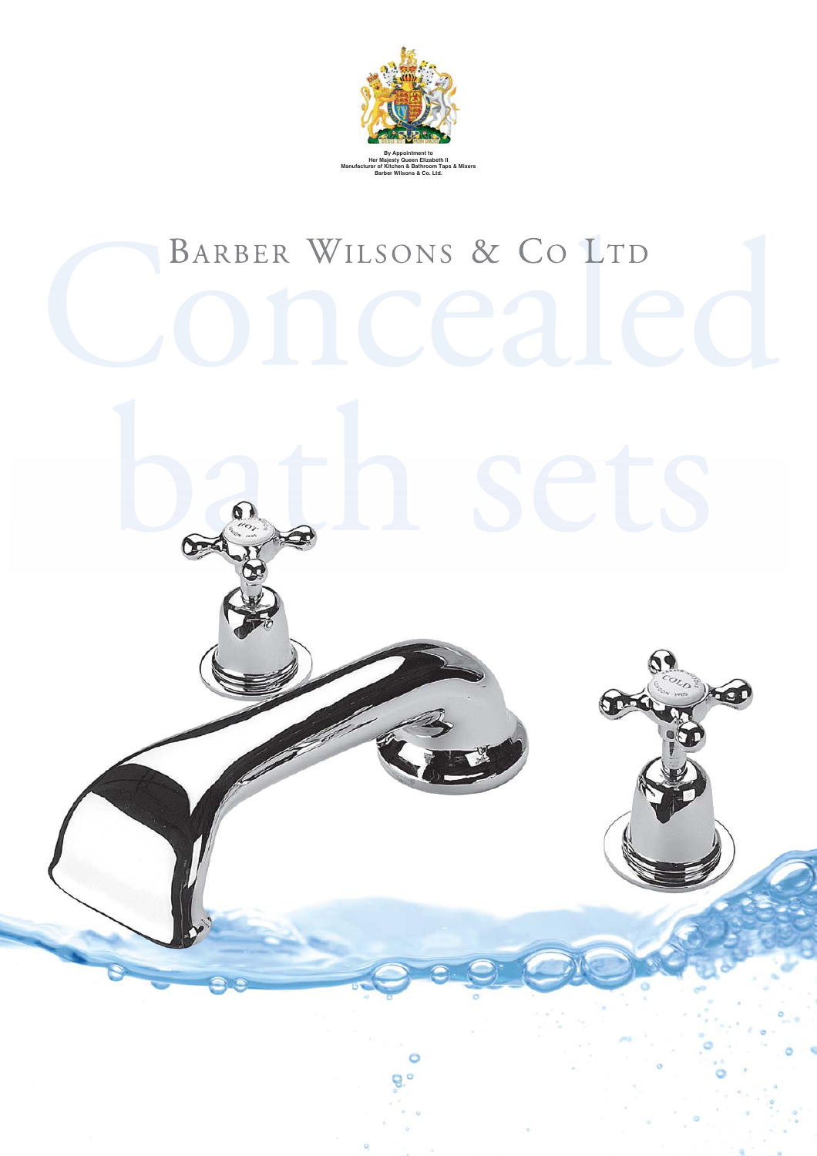

## BARBER WILSONS & CO LTD

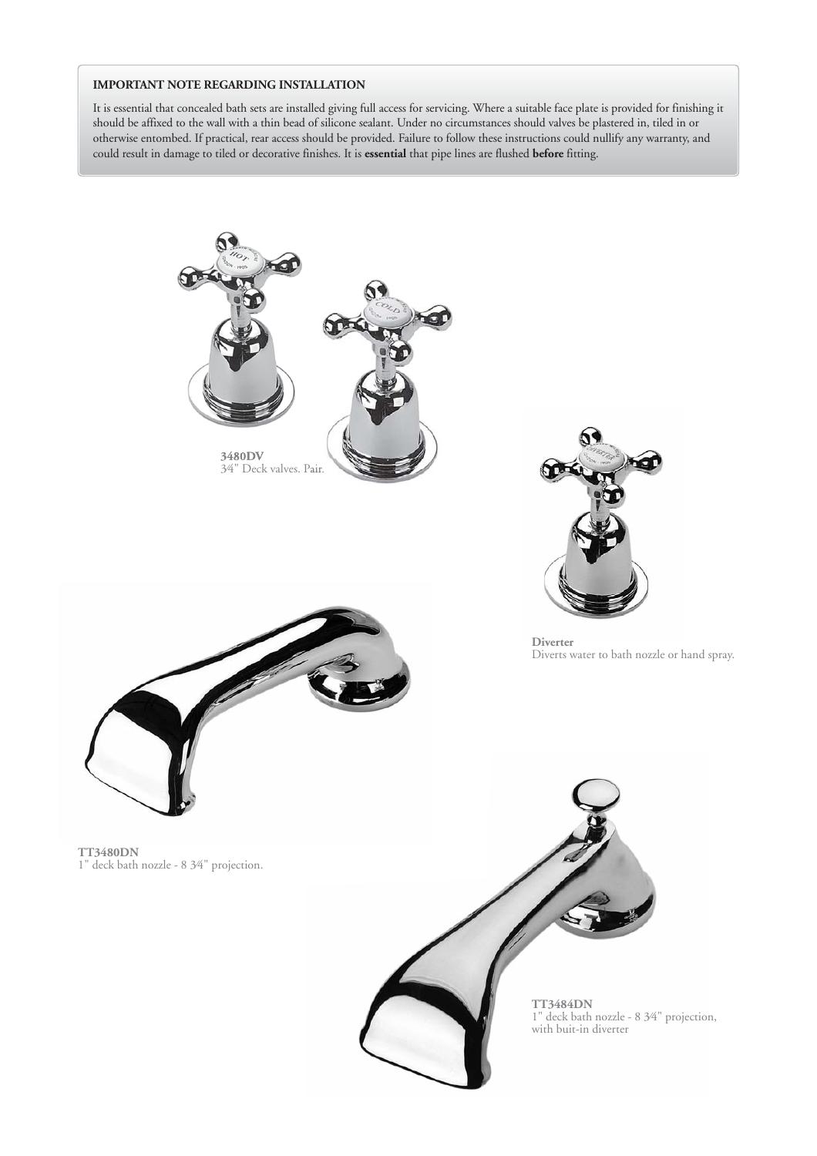## **IMPORTANT NOTE REGARDING INSTALLATION**

It is essential that concealed bath sets are installed giving full access for servicing. Where a suitable face plate is provided for finishing it should be affixed to the wall with a thin bead of silicone sealant. Under no circumstances should valves be plastered in, tiled in or otherwise entombed. If practical, rear access should be provided. Failure to follow these instructions could nullify any warranty, and could result in damage to tiled or decorative finishes. It is **essential** that pipe lines are flushed **before** fitting.



**TT3484DN** 1" deck bath nozzle - 8 3⁄4" projection, with buit-in diverter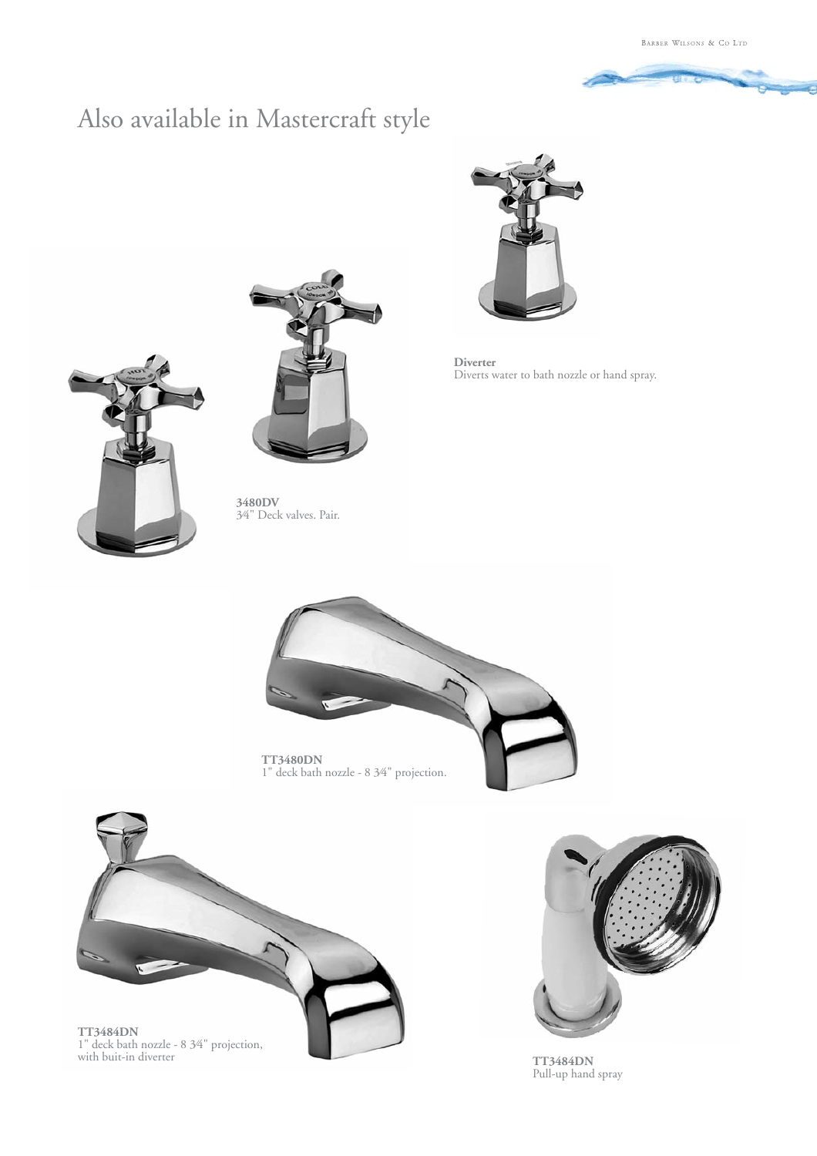

## Also available in Mastercraft style



**Diverter** Diverts water to bath nozzle or hand spray.





**3480DV** 3⁄4" Deck valves. Pair.



**TT3484DN** 1" deck bath nozzle - 8 3⁄4" projection, with buit-in diverter